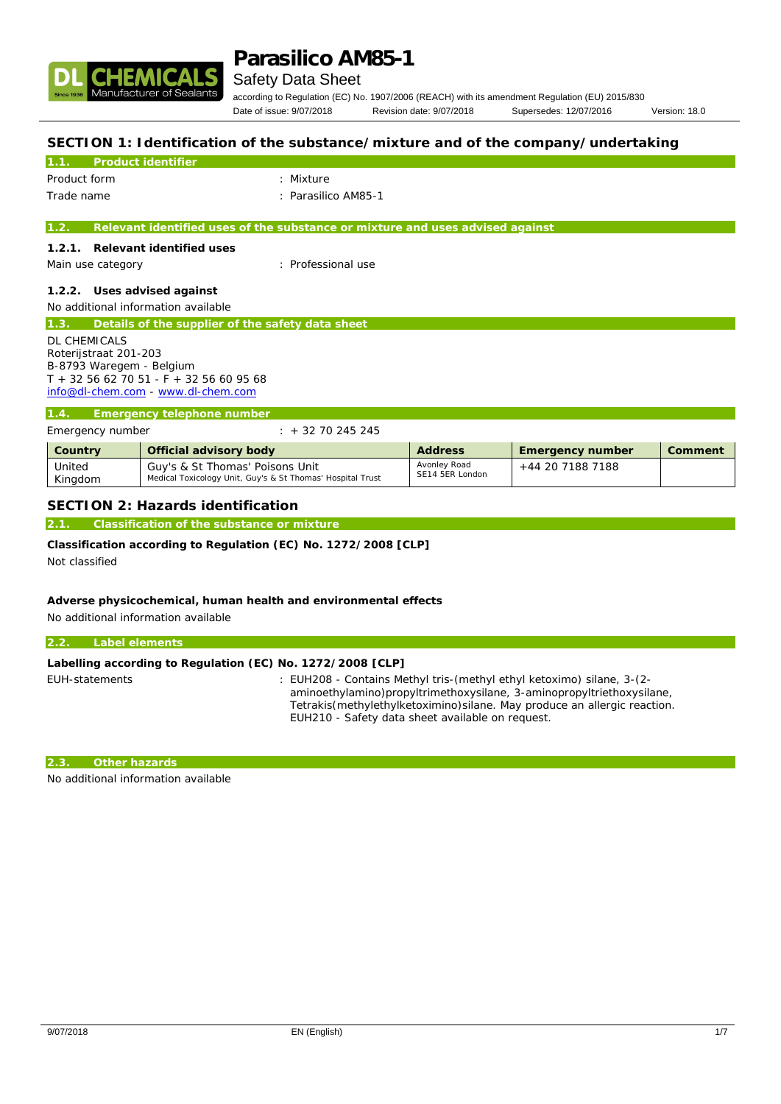

### Safety Data Sheet

according to Regulation (EC) No. 1907/2006 (REACH) with its amendment Regulation (EU) 2015/830 Date of issue: 9/07/2018 Revision date: 9/07/2018 Supersedes: 12/07/2016 Version: 18.0

Avonley Road  $+44$  20 7188 7188

## **SECTION 1: Identification of the substance/mixture and of the company/undertaking**

|                          | Product identifier                               |                                                                               |         |                  |         |
|--------------------------|--------------------------------------------------|-------------------------------------------------------------------------------|---------|------------------|---------|
| Product form             |                                                  | : Mixture                                                                     |         |                  |         |
| Trade name               |                                                  | : Parasilico AM85-1                                                           |         |                  |         |
| 1.2.                     |                                                  | Relevant identified uses of the substance or mixture and uses advised against |         |                  |         |
|                          |                                                  |                                                                               |         |                  |         |
| 1.2.1.                   | Relevant identified uses                         |                                                                               |         |                  |         |
| Main use category        |                                                  | : Professional use                                                            |         |                  |         |
| 1.2.2.                   | Uses advised against                             |                                                                               |         |                  |         |
|                          | No additional information available              |                                                                               |         |                  |         |
| 1.3.                     | Details of the supplier of the safety data sheet |                                                                               |         |                  |         |
| <b>DL CHEMICALS</b>      |                                                  |                                                                               |         |                  |         |
| Roterijstraat 201-203    |                                                  |                                                                               |         |                  |         |
| B-8793 Waregem - Belgium |                                                  |                                                                               |         |                  |         |
|                          | $T + 3256627051 - F + 3256609568$                |                                                                               |         |                  |         |
|                          | info@dl-chem.com - www.dl-chem.com               |                                                                               |         |                  |         |
| 1.4.                     | Emergency telephone number                       |                                                                               |         |                  |         |
| Emergency number         |                                                  | $: + 3270245245$                                                              |         |                  |         |
| Country                  | Official advisory body                           |                                                                               | Address | Emergency number | Comment |

### **SECTION 2: Hazards identification**

**2.1. Classification of the substance or mixture**

**Classification according to Regulation (EC) No. 1272/2008 [CLP]** Not classified

Guy's & St Thomas' Poisons Unit

Medical Toxicology Unit, Guy's & St Thomas' Hospital Trust

**Adverse physicochemical, human health and environmental effects** No additional information available

| 2.2.<br>Label elements                                     |                                                                                                                                                                                                                              |
|------------------------------------------------------------|------------------------------------------------------------------------------------------------------------------------------------------------------------------------------------------------------------------------------|
| Labelling according to Regulation (EC) No. 1272/2008 [CLP] |                                                                                                                                                                                                                              |
| EUH-statements                                             | : EUH208 - Contains Methyl tris-(methyl ethyl ketoximo) silane, 3-(2-<br>aminoethylamino)propyltrimethoxysilane, 3-aminopropyltriethoxysilane,<br>Tetrakis (methylethylketoximino) silane. May produce an allergic reaction. |

EUH210 - Safety data sheet available on request.

**2.3. Other hazards**

United Kingdom

No additional information available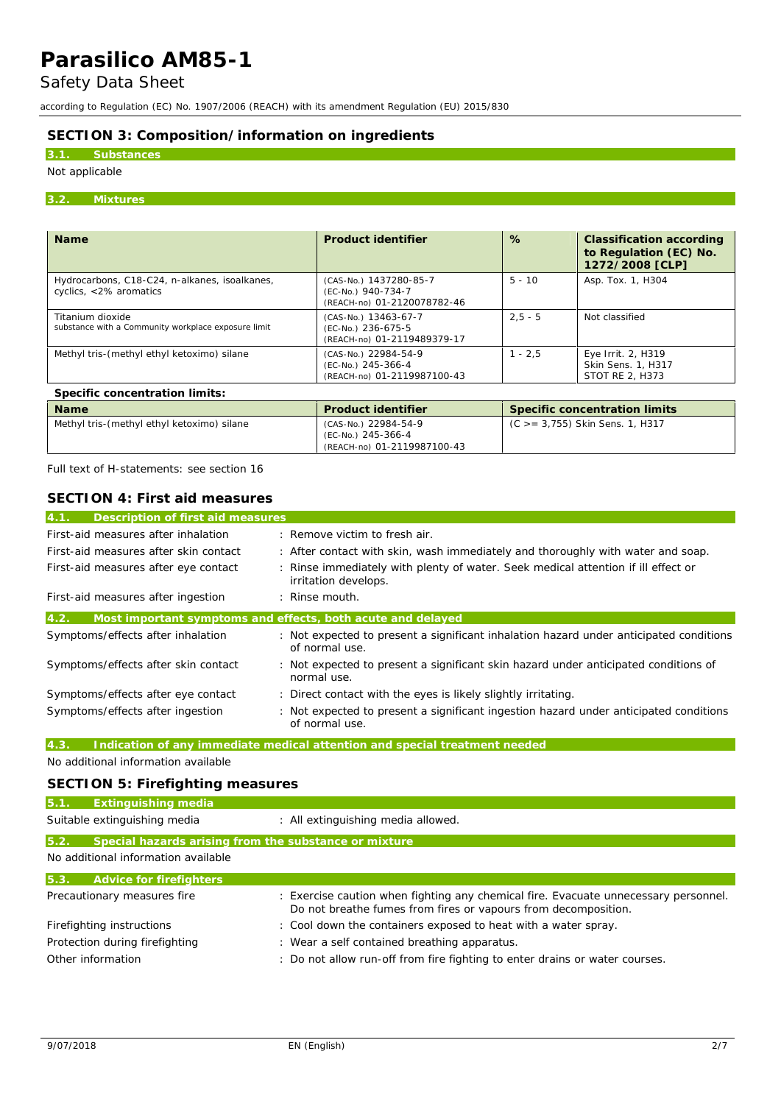## Safety Data Sheet

according to Regulation (EC) No. 1907/2006 (REACH) with its amendment Regulation (EU) 2015/830

## **SECTION 3: Composition/information on ingredients**

## **3.1. Substances**

## Not applicable

#### **3.2. Mixtures**

| <b>Name</b>                                                             | Product identifier                                                          | %         | Classification according<br>to Regulation (EC) No.<br>1272/2008 [CLP] |
|-------------------------------------------------------------------------|-----------------------------------------------------------------------------|-----------|-----------------------------------------------------------------------|
| Hydrocarbons, C18-C24, n-alkanes, isoalkanes,<br>cyclics, <2% aromatics | (CAS-No.) 1437280-85-7<br>(EC-No.) 940-734-7<br>(REACH-no) 01-2120078782-46 | $5 - 10$  | Asp. Tox. 1, H304                                                     |
| Titanium dioxide<br>substance with a Community workplace exposure limit | (CAS-No.) 13463-67-7<br>(EC-No.) 236-675-5<br>(REACH-no) 01-2119489379-17   | $2.5 - 5$ | Not classified                                                        |
| Methyl tris-(methyl ethyl ketoximo) silane                              | (CAS-No.) 22984-54-9<br>(EC-No.) 245-366-4<br>(REACH-no) 01-2119987100-43   | $1 - 2.5$ | Eye Irrit. 2, H319<br>Skin Sens. 1, H317<br>STOT RE 2. H373           |
| Specific concentration limits:                                          |                                                                             |           |                                                                       |
|                                                                         |                                                                             |           |                                                                       |

| <b>Name</b>                                | Product identifier                                                        | Specific concentration limits      |
|--------------------------------------------|---------------------------------------------------------------------------|------------------------------------|
| Methyl tris-(methyl ethyl ketoximo) silane | (CAS-No.) 22984-54-9<br>(EC-No.) 245-366-4<br>(REACH-no) 01-2119987100-43 | $(C > = 3,755)$ Skin Sens. 1, H317 |

Full text of H-statements: see section 16

| SECTION 4: First aid measures             |                                                                                                           |
|-------------------------------------------|-----------------------------------------------------------------------------------------------------------|
| 4.1.<br>Description of first aid measures |                                                                                                           |
| First-aid measures after inhalation       | : Remove victim to fresh air.                                                                             |
| First-aid measures after skin contact     | : After contact with skin, wash immediately and thoroughly with water and soap.                           |
| First-aid measures after eye contact      | : Rinse immediately with plenty of water. Seek medical attention if ill effect or<br>irritation develops. |
| First-aid measures after ingestion        | $:$ Rinse mouth.                                                                                          |
| 4.2.                                      | Most important symptoms and effects, both acute and delayed                                               |
| Symptoms/effects after inhalation         | : Not expected to present a significant inhalation hazard under anticipated conditions<br>of normal use.  |
| Symptoms/effects after skin contact       | : Not expected to present a significant skin hazard under anticipated conditions of<br>normal use.        |
| Symptoms/effects after eye contact        | : Direct contact with the eyes is likely slightly irritating.                                             |
| Symptoms/effects after ingestion          | : Not expected to present a significant ingestion hazard under anticipated conditions<br>of normal use.   |

**4.3. Indication of any immediate medical attention and special treatment needed**

No additional information available

## **SECTION 5: Firefighting measures**

| 5.1.                           | Extinguishing media                                   |                                                                                                                                                       |  |
|--------------------------------|-------------------------------------------------------|-------------------------------------------------------------------------------------------------------------------------------------------------------|--|
|                                | Suitable extinguishing media                          | : All extinguishing media allowed.                                                                                                                    |  |
| 5.2.                           | Special hazards arising from the substance or mixture |                                                                                                                                                       |  |
|                                | No additional information available                   |                                                                                                                                                       |  |
| 5.3.                           | Advice for firefighters                               |                                                                                                                                                       |  |
|                                | Precautionary measures fire                           | : Exercise caution when fighting any chemical fire. Evacuate unnecessary personnel.<br>Do not breathe fumes from fires or vapours from decomposition. |  |
|                                | Firefighting instructions                             | : Cool down the containers exposed to heat with a water spray.                                                                                        |  |
| Protection during firefighting |                                                       | : Wear a self contained breathing apparatus.                                                                                                          |  |
|                                | Other information                                     | : Do not allow run-off from fire fighting to enter drains or water courses.                                                                           |  |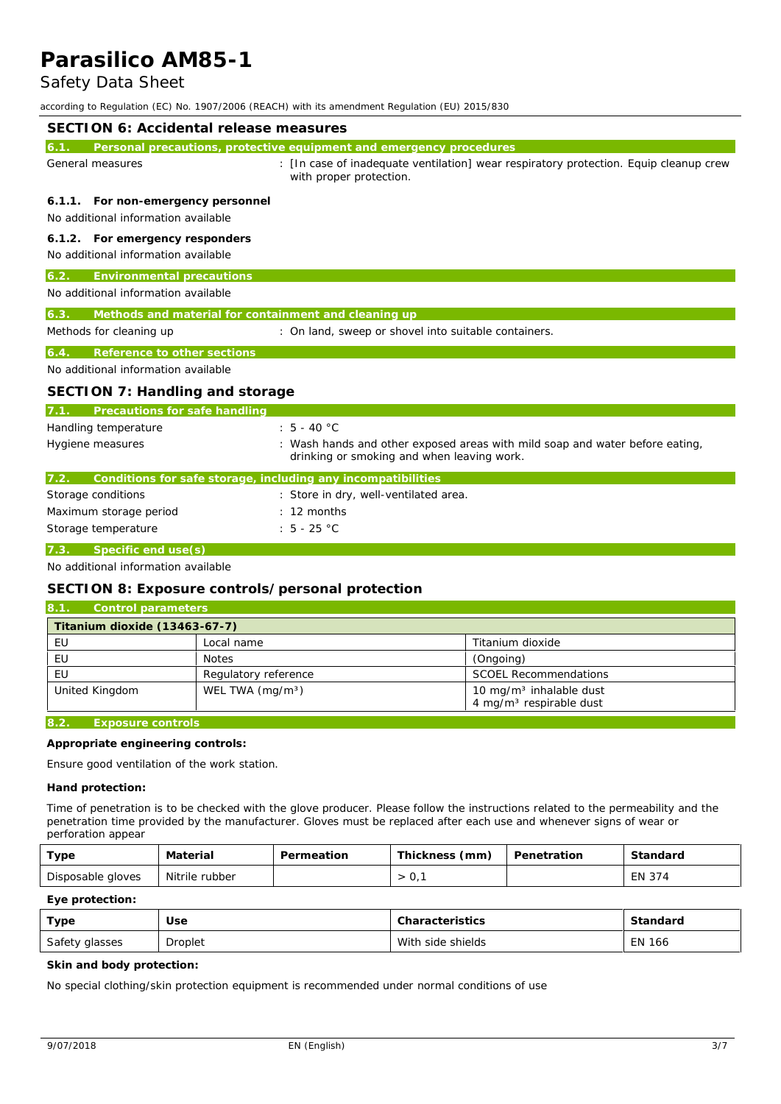## Safety Data Sheet

according to Regulation (EC) No. 1907/2006 (REACH) with its amendment Regulation (EU) 2015/830

| SECTION 6: Accidental release measures                                       |                                                                                                                            |
|------------------------------------------------------------------------------|----------------------------------------------------------------------------------------------------------------------------|
| 6.1                                                                          | Personal precautions, protective equipment and emergency procedures                                                        |
| General measures                                                             | : [In case of inadequate ventilation] wear respiratory protection. Equip cleanup crew<br>with proper protection.           |
| For non-emergency personnel<br>6.1.1.<br>No additional information available |                                                                                                                            |
| 6.1.2. For emergency responders<br>No additional information available       |                                                                                                                            |
| Environmental precautions<br>$\overline{6}$ .2.                              |                                                                                                                            |
| No additional information available                                          |                                                                                                                            |
| Methods and material for containment and cleaning up<br>6.3                  |                                                                                                                            |
| Methods for cleaning up                                                      | : On land, sweep or shovel into suitable containers.                                                                       |
| Reference to other sections<br>6.4                                           |                                                                                                                            |
| No additional information available                                          |                                                                                                                            |
| SECTION 7: Handling and storage                                              |                                                                                                                            |
| Precautions for safe handling                                                |                                                                                                                            |
| Handling temperature                                                         | $: 5 - 40 °C$                                                                                                              |
| Hygiene measures                                                             | : Wash hands and other exposed areas with mild soap and water before eating,<br>drinking or smoking and when leaving work. |
| Conditions for safe storage, including any incompatibilities<br>7.2.         |                                                                                                                            |
| Storage conditions                                                           | : Store in dry, well-ventilated area.                                                                                      |
| Maximum storage period                                                       | $: 12$ months                                                                                                              |
| Storage temperature                                                          | : $5 - 25 °C$                                                                                                              |
| 7.3<br>Specific end use(s)                                                   |                                                                                                                            |

No additional information available

#### **SECTION 8: Exposure controls/personal protection**

| 8.1.<br>Control parameters                                                                                                                                                                                                           |                      |                                                                            |
|--------------------------------------------------------------------------------------------------------------------------------------------------------------------------------------------------------------------------------------|----------------------|----------------------------------------------------------------------------|
| Titanium dioxide (13463-67-7)                                                                                                                                                                                                        |                      |                                                                            |
| EU                                                                                                                                                                                                                                   | Local name           | Titanium dioxide                                                           |
| EU                                                                                                                                                                                                                                   | Notes                | (Ongoing)                                                                  |
| EU                                                                                                                                                                                                                                   | Regulatory reference | <b>SCOEL Recommendations</b>                                               |
| United Kingdom                                                                                                                                                                                                                       | WEL TWA $(mq/m3)$    | 10 mg/m <sup>3</sup> inhalable dust<br>4 mg/m <sup>3</sup> respirable dust |
| <u>in a series and the series of the series of the series of the series of the series of the series of the series of the series of the series of the series of the series of the series of the series of the series of the serie</u> |                      |                                                                            |

**8.2. Exposure controls**

**Appropriate engineering controls:**

Ensure good ventilation of the work station.

**Hand protection:**

Time of penetration is to be checked with the glove producer. Please follow the instructions related to the permeability and the penetration time provided by the manufacturer. Gloves must be replaced after each use and whenever signs of wear or perforation appear

| туре              | Material       | Permeation | Thickness,<br>(mm) | Penetration | Standard |
|-------------------|----------------|------------|--------------------|-------------|----------|
| Disposable gloves | Nitrile rubber |            | $\cup$ ,           |             | EN 374   |

**Eye protection:**

| Type           | Use     | Characteristics   | Standard |
|----------------|---------|-------------------|----------|
| Safety glasses | Droplet | With side shields | EN 166   |

**Skin and body protection:**

No special clothing/skin protection equipment is recommended under normal conditions of use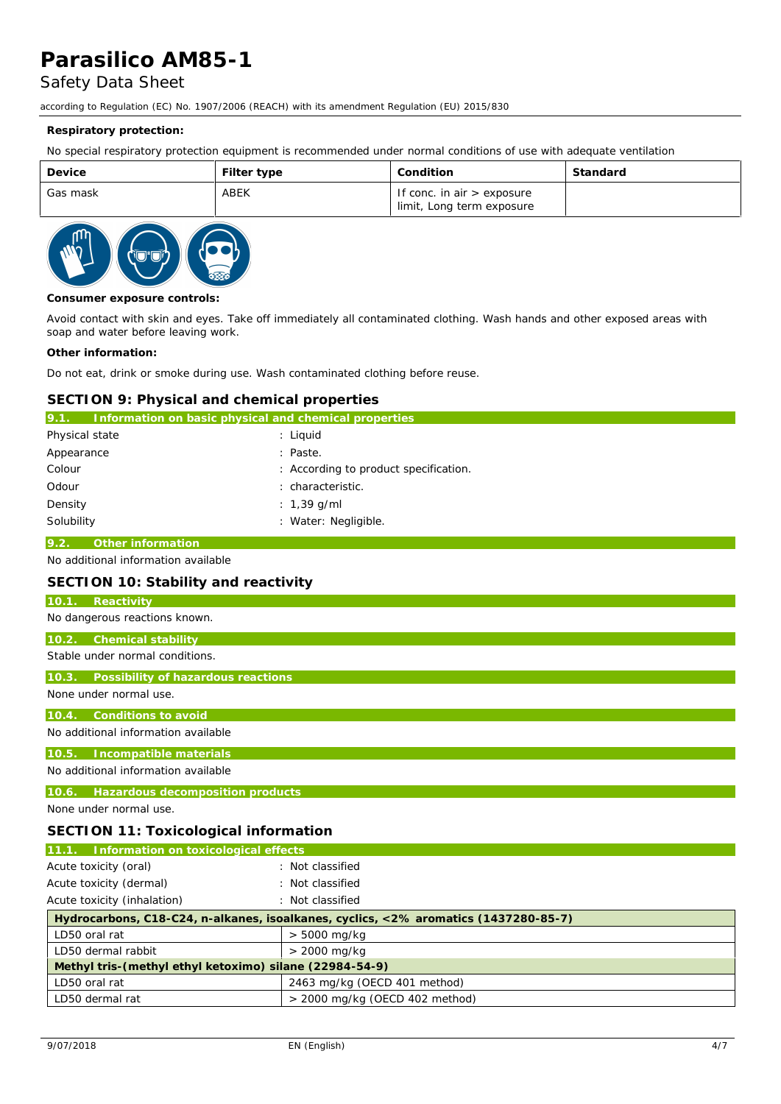## Safety Data Sheet

according to Regulation (EC) No. 1907/2006 (REACH) with its amendment Regulation (EU) 2015/830

#### **Respiratory protection:**

No special respiratory protection equipment is recommended under normal conditions of use with adequate ventilation

| Device   | Filter type | Condition                                                 | Standard |
|----------|-------------|-----------------------------------------------------------|----------|
| Gas mask | ABEK        | If conc. in air $>$ exposure<br>limit, Long term exposure |          |



**Consumer exposure controls:**

Avoid contact with skin and eyes. Take off immediately all contaminated clothing. Wash hands and other exposed areas with soap and water before leaving work.

#### **Other information:**

Do not eat, drink or smoke during use. Wash contaminated clothing before reuse.

#### **SECTION 9: Physical and chemical properties**

| Information on basic physical and chemical properties<br>9.1. |                                       |
|---------------------------------------------------------------|---------------------------------------|
| Physical state                                                | : Liguid                              |
| Appearance                                                    | : Paste.                              |
| Colour                                                        | : According to product specification. |
| Odour                                                         | characteristic.                       |
| Density                                                       | : 1,39 g/ml                           |
| Solubility                                                    | : Water: Negligible.                  |

### **9.2. Other information**

No additional information available

#### **SECTION 10: Stability and reactivity**

## **10.1. Reactivity** No dangerous reactions known. **10.2. Chemical stability** Stable under normal conditions. **10.3. Possibility of hazardous reactions** None under normal use. **10.4. Conditions to avoid** No additional information available **10.5. Incompatible materials** No additional information available

**10.6. Hazardous decomposition products**

None under normal use.

#### **SECTION 11: Toxicological information**

| 11.1. Information on toxicological effects                                          |                                  |  |
|-------------------------------------------------------------------------------------|----------------------------------|--|
| Acute toxicity (oral)                                                               | : Not classified                 |  |
| Acute toxicity (dermal)                                                             | : Not classified                 |  |
| Acute toxicity (inhalation)                                                         | : Not classified                 |  |
| Hydrocarbons, C18-C24, n-alkanes, isoalkanes, cyclics, <2% aromatics (1437280-85-7) |                                  |  |
| LD50 oral rat                                                                       | $> 5000$ mg/kg                   |  |
| LD50 dermal rabbit                                                                  | $> 2000$ mg/kg                   |  |
| Methyl tris-(methyl ethyl ketoximo) silane (22984-54-9)                             |                                  |  |
| LD50 oral rat                                                                       | 2463 mg/kg (OECD 401 method)     |  |
| LD50 dermal rat                                                                     | $>$ 2000 mg/kg (OECD 402 method) |  |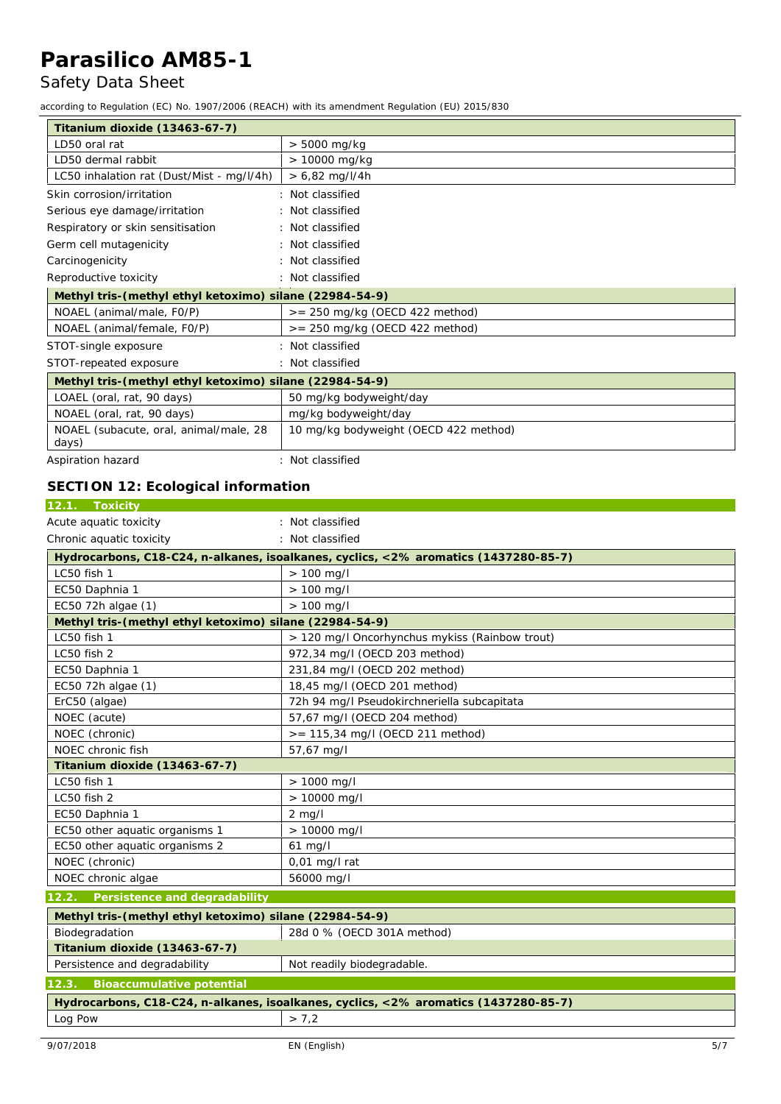## Safety Data Sheet

according to Regulation (EC) No. 1907/2006 (REACH) with its amendment Regulation (EU) 2015/830

| Titanium dioxide (13463-67-7)                           |                                       |  |
|---------------------------------------------------------|---------------------------------------|--|
| LD50 oral rat                                           | $> 5000$ mg/kg                        |  |
| LD50 dermal rabbit                                      | > 10000 mg/kg                         |  |
| LC50 inhalation rat (Dust/Mist - mg/l/4h)               | $> 6,82$ mg/l/4h                      |  |
| Skin corrosion/irritation                               | : Not classified                      |  |
| Serious eye damage/irritation                           | : Not classified                      |  |
| Respiratory or skin sensitisation                       | : Not classified                      |  |
| Germ cell mutagenicity                                  | : Not classified                      |  |
| Carcinogenicity                                         | : Not classified                      |  |
| Reproductive toxicity                                   | : Not classified                      |  |
| Methyl tris-(methyl ethyl ketoximo) silane (22984-54-9) |                                       |  |
| NOAEL (animal/male, F0/P)                               | $>= 250$ mg/kg (OECD 422 method)      |  |
| NOAEL (animal/female, F0/P)                             | $>= 250$ mg/kg (OECD 422 method)      |  |
| STOT-single exposure                                    | : Not classified                      |  |
| STOT-repeated exposure                                  | : Not classified                      |  |
| Methyl tris-(methyl ethyl ketoximo) silane (22984-54-9) |                                       |  |
| LOAEL (oral, rat, 90 days)                              | 50 mg/kg bodyweight/day               |  |
| NOAEL (oral, rat, 90 days)                              | mg/kg bodyweight/day                  |  |
| NOAEL (subacute, oral, animal/male, 28<br>days)         | 10 mg/kg bodyweight (OECD 422 method) |  |
| Aspiration hazard                                       | : Not classified                      |  |

## **SECTION 12: Ecological information**

| : Not classified                                                                    |  |  |
|-------------------------------------------------------------------------------------|--|--|
| : Not classified                                                                    |  |  |
| Hydrocarbons, C18-C24, n-alkanes, isoalkanes, cyclics, <2% aromatics (1437280-85-7) |  |  |
| $> 100$ mg/l                                                                        |  |  |
| $> 100$ mg/l                                                                        |  |  |
| $> 100$ mg/l                                                                        |  |  |
| Methyl tris-(methyl ethyl ketoximo) silane (22984-54-9)                             |  |  |
| > 120 mg/l Oncorhynchus mykiss (Rainbow trout)                                      |  |  |
| 972,34 mg/l (OECD 203 method)                                                       |  |  |
| 231,84 mg/l (OECD 202 method)                                                       |  |  |
| 18,45 mg/l (OECD 201 method)                                                        |  |  |
| 72h 94 mg/l Pseudokirchneriella subcapitata                                         |  |  |
| 57,67 mg/l (OECD 204 method)                                                        |  |  |
| >= 115,34 mg/l (OECD 211 method)                                                    |  |  |
| 57,67 mg/l                                                                          |  |  |
|                                                                                     |  |  |
| $> 1000$ mg/l                                                                       |  |  |
| > 10000 mg/l                                                                        |  |  |
| $2$ mg/l                                                                            |  |  |
| $> 10000$ mg/l                                                                      |  |  |
| $61$ mg/l                                                                           |  |  |
| $0,01$ mg/l rat                                                                     |  |  |
| 56000 mg/l                                                                          |  |  |
|                                                                                     |  |  |
| Methyl tris-(methyl ethyl ketoximo) silane (22984-54-9)                             |  |  |
| 28d 0 % (OECD 301A method)                                                          |  |  |
|                                                                                     |  |  |
| Not readily biodegradable.                                                          |  |  |
|                                                                                     |  |  |
| Hydrocarbons, C18-C24, n-alkanes, isoalkanes, cyclics, <2% aromatics (1437280-85-7) |  |  |
| > 7,2                                                                               |  |  |
|                                                                                     |  |  |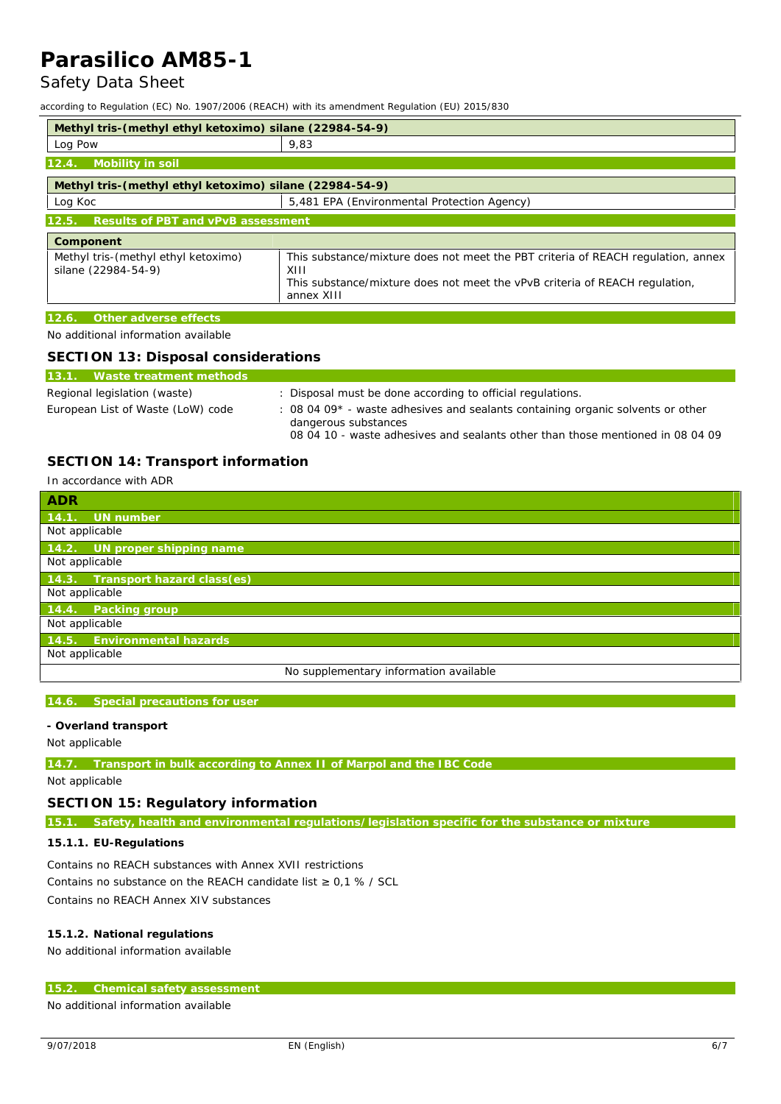## Safety Data Sheet

according to Regulation (EC) No. 1907/2006 (REACH) with its amendment Regulation (EU) 2015/830

| Methyl tris-(methyl ethyl ketoximo) silane (22984-54-9)               |                                                                                                                                                                                       |  |
|-----------------------------------------------------------------------|---------------------------------------------------------------------------------------------------------------------------------------------------------------------------------------|--|
| Log Pow                                                               | 9,83                                                                                                                                                                                  |  |
| Mobility in soil<br>12.4.                                             |                                                                                                                                                                                       |  |
| Methyl tris-(methyl ethyl ketoximo) silane (22984-54-9)               |                                                                                                                                                                                       |  |
| Log Koc                                                               | 5,481 EPA (Environmental Protection Agency)                                                                                                                                           |  |
| Results of PBT and vPvB assessment<br>12.5.                           |                                                                                                                                                                                       |  |
| Component                                                             |                                                                                                                                                                                       |  |
| Methyl tris-(methyl ethyl ketoximo)<br>silane (22984-54-9)            | This substance/mixture does not meet the PBT criteria of REACH regulation, annex<br>XIII<br>This substance/mixture does not meet the vPvB criteria of REACH regulation,<br>annex XIII |  |
| 12.6.<br>Other adverse effects<br>No additional information available |                                                                                                                                                                                       |  |

**SECTION 13: Disposal considerations**

| SECTION 13: Disposal considerations |                                                                                                                                                                                           |  |
|-------------------------------------|-------------------------------------------------------------------------------------------------------------------------------------------------------------------------------------------|--|
| 13.1. Waste treatment methods       |                                                                                                                                                                                           |  |
| Regional legislation (waste)        | : Disposal must be done according to official regulations.                                                                                                                                |  |
| European List of Waste (LoW) code   | : 08 04 09* - waste adhesives and sealants containing organic solvents or other<br>dangerous substances<br>08 04 10 - waste adhesives and sealants other than those mentioned in 08 04 09 |  |

## **SECTION 14: Transport information**

## In accordance with ADR **ADR 14.1. UN number** Not applicable **14.2. UN proper shipping name** Not applicable **14.3. Transport hazard class** Not applicable **14.4. Packing group** Not applicable **14.5. Environment** Not applicable No supplementary information available

#### **14.6. Special precautions for user**

**- Overland transport** Not applicable

#### **14.7. Transport in bulk according to Annex II of Marpol and the IBC Code**

Not applicable

## **SECTION 15: Regulatory information**

**15.1. Safety, health and environmental regulations/legislation specific for the substance or mixture**

**15.1.1. EU-Regulations**

Contains no REACH substances with Annex XVII restrictions Contains no substance on the REACH candidate list 0,1 % / SCL Contains no REACH Annex XIV substances

**15.1.2. National regulations**

No additional information available

## **15.2. Chemical safety assessment**

No additional information available